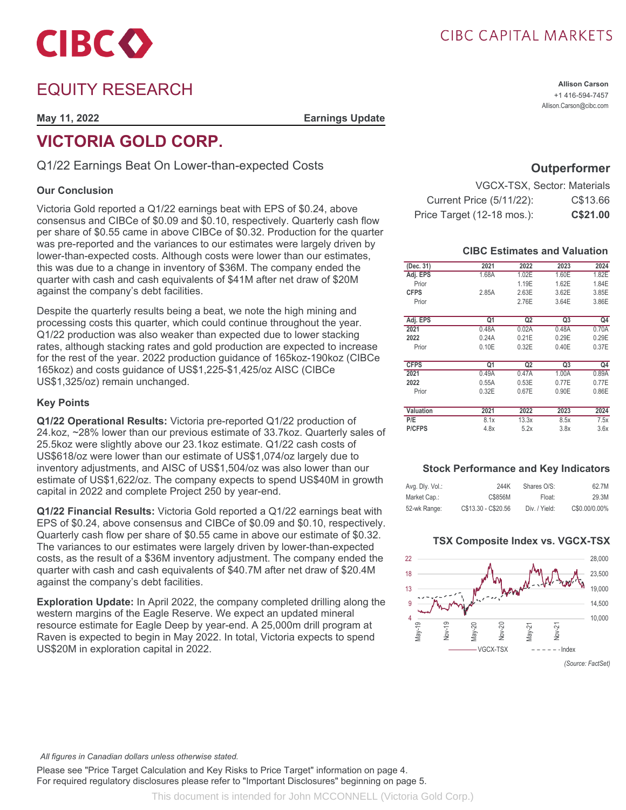

# EQUITY RESEARCH

**May 11, 2022 Earnings Update**

# **VICTORIA GOLD CORP.**

Q1/22 Earnings Beat On Lower-than-expected Costs

### **Our Conclusion**

Victoria Gold reported a Q1/22 earnings beat with EPS of \$0.24, above consensus and CIBCe of \$0.09 and \$0.10, respectively. Quarterly cash flow per share of \$0.55 came in above CIBCe of \$0.32. Production for the quarter was pre-reported and the variances to our estimates were largely driven by lower-than-expected costs. Although costs were lower than our estimates, this was due to a change in inventory of \$36M. The company ended the quarter with cash and cash equivalents of \$41M after net draw of \$20M against the company's debt facilities.

Despite the quarterly results being a beat, we note the high mining and processing costs this quarter, which could continue throughout the year. Q1/22 production was also weaker than expected due to lower stacking rates, although stacking rates and gold production are expected to increase for the rest of the year. 2022 production guidance of 165koz-190koz (CIBCe 165koz) and costs guidance of US\$1,225-\$1,425/oz AISC (CIBCe US\$1,325/oz) remain unchanged.

### **Key Points**

**Q1/22 Operational Results:** Victoria pre-reported Q1/22 production of 24.koz, ~28% lower than our previous estimate of 33.7koz. Quarterly sales of 25.5koz were slightly above our 23.1koz estimate. Q1/22 cash costs of US\$618/oz were lower than our estimate of US\$1,074/oz largely due to inventory adjustments, and AISC of US\$1,504/oz was also lower than our estimate of US\$1,622/oz. The company expects to spend US\$40M in growth capital in 2022 and complete Project 250 by year-end.

**Q1/22 Financial Results:** Victoria Gold reported a Q1/22 earnings beat with EPS of \$0.24, above consensus and CIBCe of \$0.09 and \$0.10, respectively. Quarterly cash flow per share of \$0.55 came in above our estimate of \$0.32. The variances to our estimates were largely driven by lower-than-expected costs, as the result of a \$36M inventory adjustment. The company ended the quarter with cash and cash equivalents of \$40.7M after net draw of \$20.4M against the company's debt facilities.

**Exploration Update:** In April 2022, the company completed drilling along the western margins of the Eagle Reserve. We expect an updated mineral resource estimate for Eagle Deep by year-end. A 25,000m drill program at Raven is expected to begin in May 2022. In total, Victoria expects to spend US\$20M in exploration capital in 2022.

## CIBC CAPITAL MARKETS

**Allison Carson** +1 416-594-7457 Allison.Carson@cibc.com

### **Outperformer**

| <b>VGCX-TSX, Sector: Materials</b> |          |
|------------------------------------|----------|
| <b>Current Price (5/11/22):</b>    | C\$13.66 |
| Price Target (12-18 mos.):         | C\$21.00 |

### **CIBC Estimates and Valuation**

| (Dec. 31)        | 2021  | 2022           | 2023           | 2024           |
|------------------|-------|----------------|----------------|----------------|
| Adj. EPS         | 1.68A | 1.02E          | 1.60E          | 1.82E          |
|                  |       |                |                |                |
| Prior            |       | 1.19E          | 1.62E          | 1.84E          |
| <b>CFPS</b>      | 2.85A | 2.63E          | 3.62E          | 3.85E          |
| Prior            |       | 2.76E          | 3.64E          | 3.86E          |
|                  |       |                |                |                |
| Adj. EPS         | Q1    | Q <sub>2</sub> | Q <sub>3</sub> | Q <sub>4</sub> |
| 2021             | 0.48A | 0.02A          | 0.48A          | 0.70A          |
| 2022             | 0.24A | 0.21E          | 0.29E          | 0.29E          |
| Prior            | 0.10E | 0.32E          | 0.40E          | 0.37E          |
|                  |       |                |                |                |
| <b>CFPS</b>      | Q1    | Q <sub>2</sub> | Q <sub>3</sub> | Q4             |
| 2021             | 0.49A | 0.47A          | 1.00A          | 0.89A          |
| 2022             | 0.55A | 0.53E          | 0.77E          | 0.77E          |
| Prior            | 0.32E | 0.67E          | 0.90E          | 0.86E          |
|                  |       |                |                |                |
| <b>Valuation</b> | 2021  | 2022           | 2023           | 2024           |
| P/E              | 8.1x  | 13.3x          | 8.5x           | 7.5x           |
| <b>P/CFPS</b>    | 4.8x  | 5.2x           | 3.8x           | 3.6x           |

### **Stock Performance and Key Indicators**

| Avg. Dly. Vol.: | 244K                | Shares O/S:   | 62.7M         |
|-----------------|---------------------|---------------|---------------|
| Market Cap.:    | C\$856M             | Float:        | 29.3M         |
| 52-wk Range:    | C\$13.30 - C\$20.56 | Div. / Yield: | C\$0.00/0.00% |

### **TSX Composite Index vs. VGCX-TSX**



Please see "Price Target Calculation and Key Risks to Price Target" information on page 4. For required regulatory disclosures please refer to "Important Disclosures" beginning on page 5.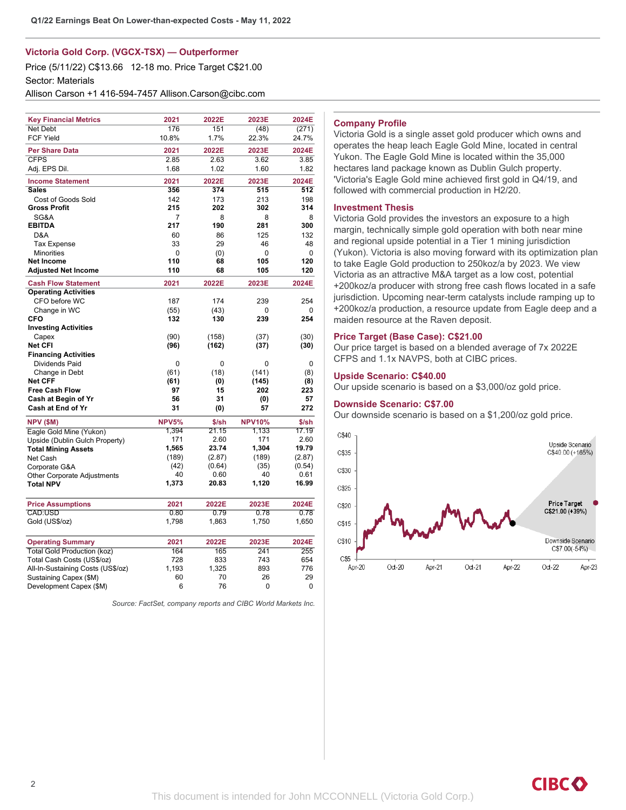### **Victoria Gold Corp. (VGCX-TSX) — Outperformer**

Price (5/11/22) C\$13.66 12-18 mo. Price Target C\$21.00 Sector: Materials

Allison Carson +1 416-594-7457 Allison.Carson@cibc.com

| <b>Key Financial Metrics</b>       | 2021         | 2022E  | 2023E         | 2024E  |
|------------------------------------|--------------|--------|---------------|--------|
| <b>Net Debt</b>                    | 176          | 151    | (48)          | (271)  |
| <b>FCF Yield</b>                   | 10.8%        | 1.7%   | 22.3%         | 24.7%  |
| <b>Per Share Data</b>              | 2021         | 2022E  | 2023E         | 2024E  |
| <b>CFPS</b>                        | 2.85         | 2.63   | 3.62          | 3.85   |
| Adj. EPS Dil.                      | 1.68         | 1.02   | 1.60          | 1.82   |
| <b>Income Statement</b>            | 2021         | 2022E  | 2023E         | 2024E  |
| <b>Sales</b>                       | 356          | 374    | 515           | 512    |
| Cost of Goods Sold                 | 142          | 173    | 213           | 198    |
| <b>Gross Profit</b>                | 215          | 202    | 302           | 314    |
| SG&A                               | 7            | 8      | 8             | 8      |
| <b>EBITDA</b>                      | 217          | 190    | 281           | 300    |
| D&A                                | 60           | 86     | 125           | 132    |
| <b>Tax Expense</b>                 | 33           | 29     | 46            | 48     |
| <b>Minorities</b>                  | $\mathbf 0$  | (0)    | 0             | 0      |
| <b>Net Income</b>                  | 110          | 68     | 105           | 120    |
| <b>Adjusted Net Income</b>         | 110          | 68     | 105           | 120    |
| <b>Cash Flow Statement</b>         | 2021         | 2022E  | 2023E         | 2024E  |
| <b>Operating Activities</b>        |              |        |               |        |
| CFO before WC                      | 187          | 174    | 239           | 254    |
| Change in WC                       | (55)         | (43)   | 0             | 0      |
| <b>CFO</b>                         | 132          | 130    | 239           | 254    |
| <b>Investing Activities</b>        |              |        |               |        |
| Capex                              | (90)         | (158)  | (37)          | (30)   |
| Net CFI                            | (96)         | (162)  | (37)          | (30)   |
| <b>Financing Activities</b>        |              |        |               |        |
| Dividends Paid                     | 0            | 0      | 0             | 0      |
| Change in Debt                     | (61)         | (18)   | (141)         | (8)    |
| <b>Net CFF</b>                     | (61)         | (0)    | (145)         | (8)    |
| <b>Free Cash Flow</b>              | 97           | 15     | 202           | 223    |
| Cash at Begin of Yr                | 56           | 31     | (0)           | 57     |
| Cash at End of Yr                  | 31           | (0)    | 57            | 272    |
| <b>NPV (\$M)</b>                   | <b>NPV5%</b> | \$/sh  | <b>NPV10%</b> | \$/sh  |
| Eagle Gold Mine (Yukon)            | 1,394        | 21.15  | 1,133         | 17.19  |
| Upside (Dublin Gulch Property)     | 171          | 2.60   | 171           | 2.60   |
| <b>Total Mining Assets</b>         | 1,565        | 23.74  | 1,304         | 19.79  |
| Net Cash                           | (189)        | (2.87) | (189)         | (2.87) |
| Corporate G&A                      | (42)         | (0.64) | (35)          | (0.54) |
| Other Corporate Adjustments        | 40           | 0.60   | 40            | 0.61   |
| <b>Total NPV</b>                   | 1,373        | 20.83  | 1,120         | 16.99  |
| <b>Price Assumptions</b>           | 2021         | 2022E  | 2023E         | 2024E  |
| CAD:USD                            | 0.80         | 0.79   | 0.78          | 0.78   |
| Gold (US\$/oz)                     | 1,798        | 1,863  | 1,750         | 1,650  |
|                                    |              |        |               |        |
| <b>Operating Summary</b>           | 2021         | 2022E  | 2023E         | 2024E  |
| <b>Total Gold Production (koz)</b> | 164          | 165    | 241           | 255    |
| Total Cash Costs (US\$/oz)         | 728          | 833    | 743           | 654    |
| All-In-Sustaining Costs (US\$/oz)  | 1,193        | 1,325  | 893           | 776    |
| Sustaining Capex (\$M)             | 60           | 70     | 26            | 29     |
| Development Capex (\$M)            | 6            | 76     | 0             | 0      |
|                                    |              |        |               |        |

*Source: FactSet, company reports and CIBC World Markets Inc.*

### **Company Profile**

Victoria Gold is a single asset gold producer which owns and operates the heap leach Eagle Gold Mine, located in central Yukon. The Eagle Gold Mine is located within the 35,000 hectares land package known as Dublin Gulch property. 'Victoria's Eagle Gold mine achieved first gold in Q4/19, and followed with commercial production in H2/20.

#### **Investment Thesis**

Victoria Gold provides the investors an exposure to a high margin, technically simple gold operation with both near mine and regional upside potential in a Tier 1 mining jurisdiction (Yukon). Victoria is also moving forward with its optimization plan to take Eagle Gold production to 250koz/a by 2023. We view Victoria as an attractive M&A target as a low cost, potential +200koz/a producer with strong free cash flows located in a safe jurisdiction. Upcoming near-term catalysts include ramping up to +200koz/a production, a resource update from Eagle deep and a maiden resource at the Raven deposit.

### **Price Target (Base Case): C\$21.00**

Our price target is based on a blended average of 7x 2022E CFPS and 1.1x NAVPS, both at CIBC prices.

#### **Upside Scenario: C\$40.00**

Our upside scenario is based on a \$3,000/oz gold price.

### **Downside Scenario: C\$7.00**

Our downside scenario is based on a \$1,200/oz gold price.

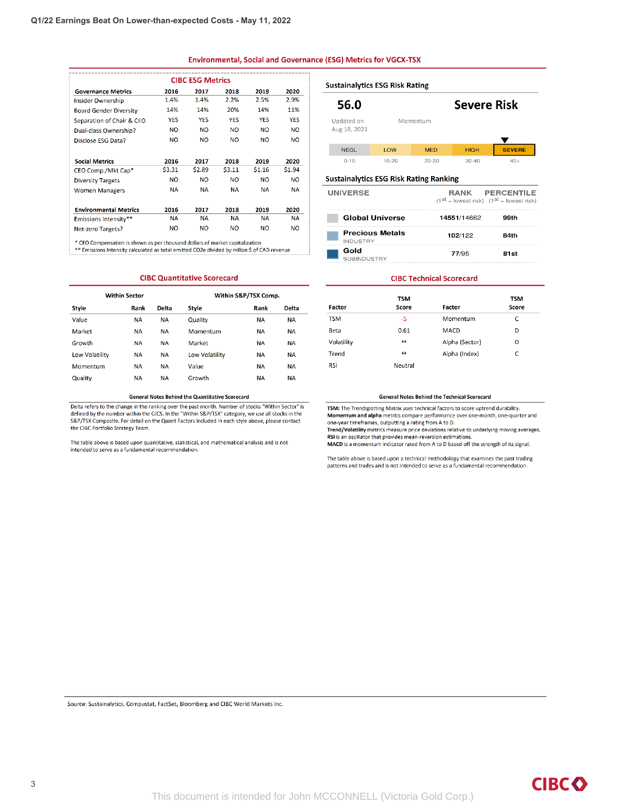#### **Environmental, Social and Governance (ESG) Metrics for VGCX-TSX**

| <b>CIBC ESG Metrics</b>       |                |            |            |            |            |
|-------------------------------|----------------|------------|------------|------------|------------|
| <b>Governance Metrics</b>     | 2016           | 2017       | 2018       | 2019       | 2020       |
| <b>Insider Ownership</b>      | 1.4%           | 1.4%       | 2.2%       | 2.5%       | 2.9%       |
| <b>Board Gender Diversity</b> | 14%            | 14%        | 20%        | 14%        | 11%        |
| Separation of Chair & CEO     | <b>YES</b>     | <b>YES</b> | <b>YES</b> | <b>YES</b> | <b>YES</b> |
| Dual-class Ownership?         | NO             | <b>NO</b>  | NO         | <b>NO</b>  | <b>NO</b>  |
| Disclose ESG Data?            | NO             | <b>NO</b>  | NO.        | NO         | <b>NO</b>  |
| <b>Social Metrics</b>         | 2016           | 2017       | 2018       | 2019       | 2020       |
| CEO Comp./Mkt Cap*            | \$3.31         | \$2.89     | \$3.11     | \$1.16     | \$1.94     |
| <b>Diversity Targets</b>      | N <sub>O</sub> | <b>NO</b>  | NO.        | NO         | <b>NO</b>  |
| <b>Women Managers</b>         | <b>NA</b>      | <b>NA</b>  | <b>NA</b>  | <b>NA</b>  | <b>NA</b>  |
| <b>Environmental Metrics</b>  | 2016           | 2017       | 2018       | 2019       | 2020       |
| Emissions Intensity**         | NΑ             | <b>NA</b>  | <b>NA</b>  | <b>NA</b>  | NА         |
| Net-zero Targets?             | NO             | <b>NO</b>  | NO         | NO         | NO.        |

\* CEO Compensation is shown as per thousand dollars of market capitalization<br>\*\* Emissions Intensity calculated as total emitted CO2e divided by milion \$ of CAD revenue

#### **CIBC Quantitative Scorecard**

| <b>Within Sector</b> |           |           |                | Within S&P/TSX Comp. |           |
|----------------------|-----------|-----------|----------------|----------------------|-----------|
| Style                | Rank      | Delta     | Style          | Rank                 | Delta     |
| Value                | <b>NA</b> | <b>NA</b> | Quality        | <b>NA</b>            | <b>NA</b> |
| Market               | <b>NA</b> | <b>NA</b> | Momentum       | <b>NA</b>            | <b>NA</b> |
| Growth               | <b>NA</b> | <b>NA</b> | Market         | <b>NA</b>            | <b>NA</b> |
| Low Volatility       | <b>NA</b> | <b>NA</b> | Low Volatility | NA                   | <b>NA</b> |
| Momentum             | <b>NA</b> | <b>NA</b> | Value          | <b>NA</b>            | <b>NA</b> |
| Quality              | <b>NA</b> | <b>NA</b> | Growth         | <b>NA</b>            | <b>NA</b> |

#### **General Notes Behind the Quantitative Scorecard**

Delta refers to the change in the ranking over the past month. Number of stocks "Within Sector" is defined by the number within the GICS. In the "Within S&P/TSX" category, we use all stocks in the S&P/TSX Composite. For detail on the Quant Factors included in each style above, please contact the CIBC Portfolio Strategy Team.

The table above is based upon quantitative, statistical, and mathematical analysis and is not intended to serve as a fundamental recommendation.

### **Sustainalytics ESG Risk Rating**

#### 56.0 Updated on Momentum

Aug 18, 2021

| $\overline{\phantom{a}}$ |           |            |             |               |
|--------------------------|-----------|------------|-------------|---------------|
| <b>NEGL</b>              | LOW       | <b>MED</b> | <b>HIGH</b> | <b>SEVERE</b> |
| $0 - 10$                 | $10 - 20$ | $20 - 30$  | $30 - 40$   |               |

**Severe Risk** 

#### **Sustainalytics ESG Risk Rating Ranking**

| <b>UNIVERSE</b>                           | RANK PERCENTILE<br>$(1^{st}$ = lowest risk) $(1^{st}$ = lowest risk) |      |  |
|-------------------------------------------|----------------------------------------------------------------------|------|--|
| <b>Global Universe</b>                    | 14551/14662                                                          | 99th |  |
| <b>Precious Metals</b><br><b>INDUSTRY</b> | 102/122                                                              | 84th |  |
| Gold<br><b>SUBINDUSTRY</b>                | 77/95                                                                | 81st |  |

#### **CIBC Technical Scorecard**

| <b>Factor</b> | <b>TSM</b><br><b>Score</b> | Factor         | <b>TSM</b><br><b>Score</b> |
|---------------|----------------------------|----------------|----------------------------|
| <b>TSM</b>    | -5                         | Momentum       | c                          |
| <b>Beta</b>   | 0.61                       | <b>MACD</b>    | D                          |
| Volatility    | $\leftrightarrow$          | Alpha (Sector) | D                          |
| Trend         | $\leftrightarrow$          | Alpha (Index)  | c                          |
| <b>RSI</b>    | <b>Neutral</b>             |                |                            |

#### **General Notes Behind the Technical Scorecard**

TSM: The Trendspotting Matrix uses technical factors to score uptrend durability. Momentum and alpha metrics compare performance over one-month, one-quarter and one-year timeframes, outputting a rating from A to D.<br>Trend/Volatility metrics measure price deviations relative to underlying moving averages.

RSI is an oscillator that provides mean-reversion estimations. MACD is a momentum indicator rated from A to D based off the strength of its signal.

The table above is based upon a technical methodology that examines the past trading patterns and trades and is not intended to serve as a fundamental recommendation.

Source: Sustainalytics, Compustat, FactSet, Bloomberg and CIBC World Markets Inc.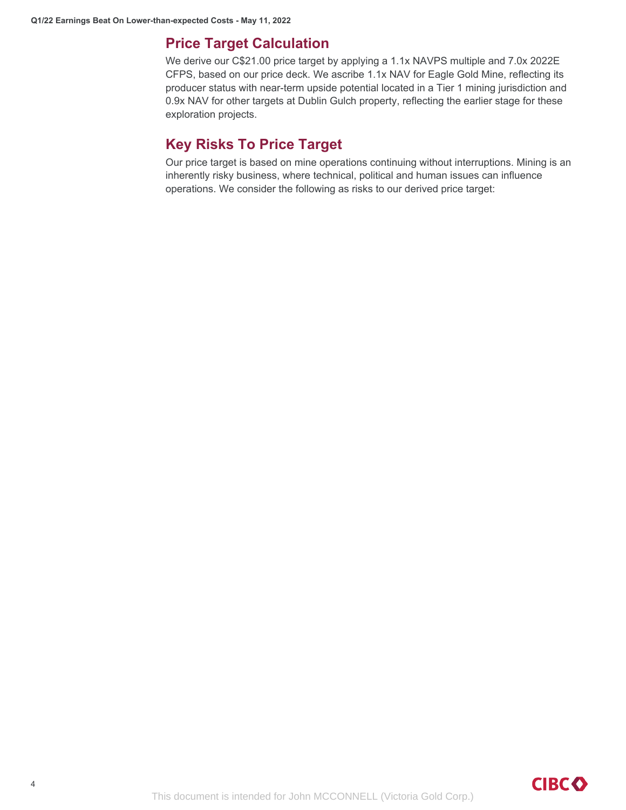## **Price Target Calculation**

We derive our C\$21.00 price target by applying a 1.1x NAVPS multiple and 7.0x 2022E CFPS, based on our price deck. We ascribe 1.1x NAV for Eagle Gold Mine, reflecting its producer status with near-term upside potential located in a Tier 1 mining jurisdiction and 0.9x NAV for other targets at Dublin Gulch property, reflecting the earlier stage for these exploration projects.

## **Key Risks To Price Target**

Our price target is based on mine operations continuing without interruptions. Mining is an inherently risky business, where technical, political and human issues can influence operations. We consider the following as risks to our derived price target: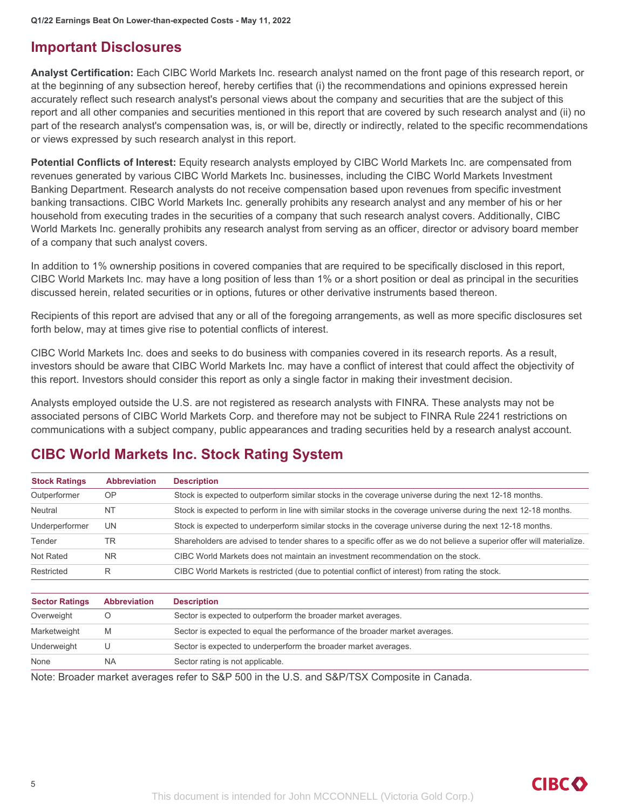## **Important Disclosures**

**Analyst Certification:** Each CIBC World Markets Inc. research analyst named on the front page of this research report, or at the beginning of any subsection hereof, hereby certifies that (i) the recommendations and opinions expressed herein accurately reflect such research analyst's personal views about the company and securities that are the subject of this report and all other companies and securities mentioned in this report that are covered by such research analyst and (ii) no part of the research analyst's compensation was, is, or will be, directly or indirectly, related to the specific recommendations or views expressed by such research analyst in this report.

**Potential Conflicts of Interest:** Equity research analysts employed by CIBC World Markets Inc. are compensated from revenues generated by various CIBC World Markets Inc. businesses, including the CIBC World Markets Investment Banking Department. Research analysts do not receive compensation based upon revenues from specific investment banking transactions. CIBC World Markets Inc. generally prohibits any research analyst and any member of his or her household from executing trades in the securities of a company that such research analyst covers. Additionally, CIBC World Markets Inc. generally prohibits any research analyst from serving as an officer, director or advisory board member of a company that such analyst covers.

In addition to 1% ownership positions in covered companies that are required to be specifically disclosed in this report, CIBC World Markets Inc. may have a long position of less than 1% or a short position or deal as principal in the securities discussed herein, related securities or in options, futures or other derivative instruments based thereon.

Recipients of this report are advised that any or all of the foregoing arrangements, as well as more specific disclosures set forth below, may at times give rise to potential conflicts of interest.

CIBC World Markets Inc. does and seeks to do business with companies covered in its research reports. As a result, investors should be aware that CIBC World Markets Inc. may have a conflict of interest that could affect the objectivity of this report. Investors should consider this report as only a single factor in making their investment decision.

Analysts employed outside the U.S. are not registered as research analysts with FINRA. These analysts may not be associated persons of CIBC World Markets Corp. and therefore may not be subject to FINRA Rule 2241 restrictions on communications with a subject company, public appearances and trading securities held by a research analyst account.

## **CIBC World Markets Inc. Stock Rating System**

| <b>Stock Ratings</b>  | <b>Abbreviation</b> | <b>Description</b>                                                                                                    |
|-----------------------|---------------------|-----------------------------------------------------------------------------------------------------------------------|
| Outperformer          | <b>OP</b>           | Stock is expected to outperform similar stocks in the coverage universe during the next 12-18 months.                 |
| Neutral               | <b>NT</b>           | Stock is expected to perform in line with similar stocks in the coverage universe during the next 12-18 months.       |
| Underperformer        | UN                  | Stock is expected to underperform similar stocks in the coverage universe during the next 12-18 months.               |
| Tender                | TR                  | Shareholders are advised to tender shares to a specific offer as we do not believe a superior offer will materialize. |
| Not Rated             | <b>NR</b>           | CIBC World Markets does not maintain an investment recommendation on the stock.                                       |
| Restricted            | R                   | CIBC World Markets is restricted (due to potential conflict of interest) from rating the stock.                       |
|                       |                     |                                                                                                                       |
| <b>Sector Ratings</b> | <b>Abbreviation</b> | <b>Description</b>                                                                                                    |
| Overweight            | O                   | Sector is expected to outperform the broader market averages.                                                         |
| Marketweight          | M                   | Sector is expected to equal the performance of the broader market averages.                                           |

Note: Broader market averages refer to S&P 500 in the U.S. and S&P/TSX Composite in Canada.

Underweight U Sector is expected to underperform the broader market averages.

None NA NA Sector rating is not applicable.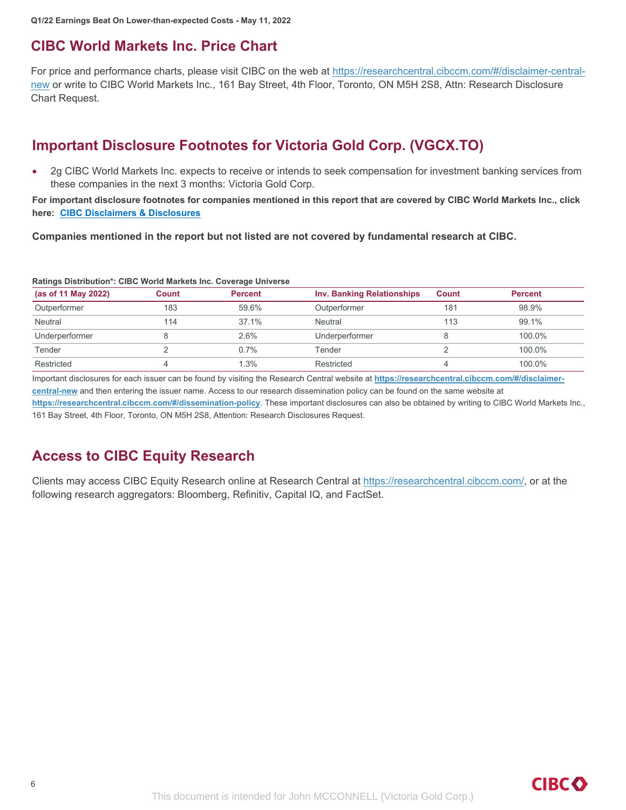## **CIBC World Markets Inc. Price Chart**

For price and performance charts, please visit CIBC on the web at https://researchcentral.cibccm.com/#/disclaimer-centralnew or write to CIBC World Markets Inc., 161 Bay Street, 4th Floor, Toronto, ON M5H 2S8, Attn: Research Disclosure Chart Request.

## **Important Disclosure Footnotes for Victoria Gold Corp. (VGCX.TO)**

 2g CIBC World Markets Inc. expects to receive or intends to seek compensation for investment banking services from these companies in the next 3 months: Victoria Gold Corp.

For important disclosure footnotes for companies mentioned in this report that are covered by CIBC World Markets Inc., click **here: CIBC Disclaimers & Disclosures**

**Companies mentioned in the report but not listed are not covered by fundamental research at CIBC.**

| (as of 11 May 2022) | <b>Count</b> | <b>Percent</b> | <b>Inv. Banking Relationships</b> | <b>Count</b> | <b>Percent</b> |
|---------------------|--------------|----------------|-----------------------------------|--------------|----------------|
| Outperformer        | 183          | 59.6%          | Outperformer                      | 181          | 98.9%          |
| Neutral             | 114          | 37.1%          | Neutral                           | 113          | 99.1%          |
| Underperformer      |              | $2.6\%$        | Underperformer                    | 8            | 100.0%         |
| Tender              |              | 0.7%           | Tender                            |              | 100.0%         |
| Restricted          |              | 1.3%           | Restricted                        | 4            | 100.0%         |

### **Ratings Distribution\*: CIBC World Markets Inc. Coverage Universe**

Important disclosures for each issuer can be found by visiting the Research Central website at **https://researchcentral.cibccm.com/#/disclaimercentral-new** and then entering the issuer name. Access to our research dissemination policy can be found on the same website at

**https://researchcentral.cibccm.com/#/dissemination-policy**. These important disclosures can also be obtained by writing to CIBC World Markets Inc., 161 Bay Street, 4th Floor, Toronto, ON M5H 2S8, Attention: Research Disclosures Request.

## **Access to CIBC Equity Research**

Clients may access CIBC Equity Research online at Research Central at https://researchcentral.cibccm.com/, or at the following research aggregators: Bloomberg, Refinitiv, Capital IQ, and FactSet.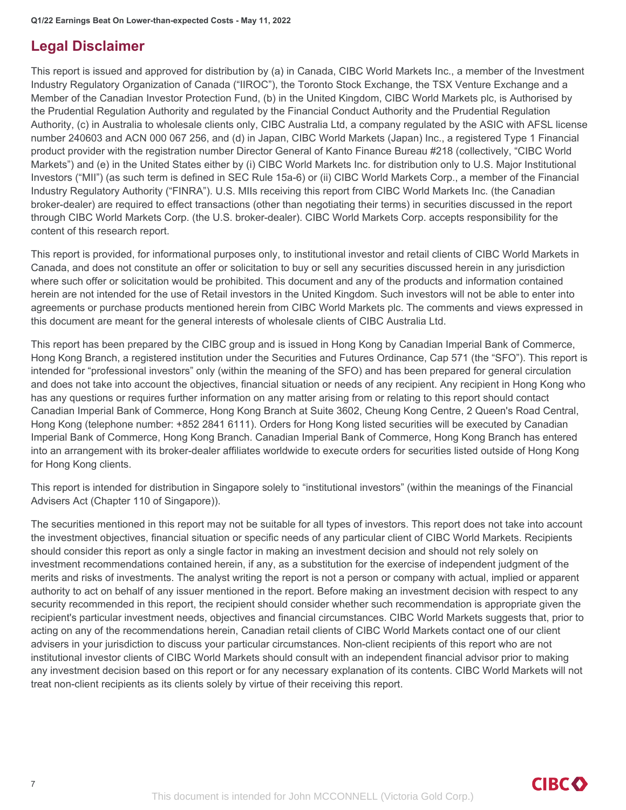## **Legal Disclaimer**

This report is issued and approved for distribution by (a) in Canada, CIBC World Markets Inc., a member of the Investment Industry Regulatory Organization of Canada ("IIROC"), the Toronto Stock Exchange, the TSX Venture Exchange and a Member of the Canadian Investor Protection Fund, (b) in the United Kingdom, CIBC World Markets plc, is Authorised by the Prudential Regulation Authority and regulated by the Financial Conduct Authority and the Prudential Regulation Authority, (c) in Australia to wholesale clients only, CIBC Australia Ltd, a company regulated by the ASIC with AFSL license number 240603 and ACN 000 067 256, and (d) in Japan, CIBC World Markets (Japan) Inc., a registered Type 1 Financial product provider with the registration number Director General of Kanto Finance Bureau #218 (collectively, "CIBC World Markets") and (e) in the United States either by (i) CIBC World Markets Inc. for distribution only to U.S. Major Institutional Investors ("MII") (as such term is defined in SEC Rule 15a-6) or (ii) CIBC World Markets Corp., a member of the Financial Industry Regulatory Authority ("FINRA"). U.S. MIIs receiving this report from CIBC World Markets Inc. (the Canadian broker-dealer) are required to effect transactions (other than negotiating their terms) in securities discussed in the report through CIBC World Markets Corp. (the U.S. broker-dealer). CIBC World Markets Corp. accepts responsibility for the content of this research report.

This report is provided, for informational purposes only, to institutional investor and retail clients of CIBC World Markets in Canada, and does not constitute an offer or solicitation to buy or sell any securities discussed herein in any jurisdiction where such offer or solicitation would be prohibited. This document and any of the products and information contained herein are not intended for the use of Retail investors in the United Kingdom. Such investors will not be able to enter into agreements or purchase products mentioned herein from CIBC World Markets plc. The comments and views expressed in this document are meant for the general interests of wholesale clients of CIBC Australia Ltd.

This report has been prepared by the CIBC group and is issued in Hong Kong by Canadian Imperial Bank of Commerce, Hong Kong Branch, a registered institution under the Securities and Futures Ordinance, Cap 571 (the "SFO"). This report is intended for "professional investors" only (within the meaning of the SFO) and has been prepared for general circulation and does not take into account the objectives, financial situation or needs of any recipient. Any recipient in Hong Kong who has any questions or requires further information on any matter arising from or relating to this report should contact Canadian Imperial Bank of Commerce, Hong Kong Branch at Suite 3602, Cheung Kong Centre, 2 Queen's Road Central, Hong Kong (telephone number: +852 2841 6111). Orders for Hong Kong listed securities will be executed by Canadian Imperial Bank of Commerce, Hong Kong Branch. Canadian Imperial Bank of Commerce, Hong Kong Branch has entered into an arrangement with its broker-dealer affiliates worldwide to execute orders for securities listed outside of Hong Kong for Hong Kong clients.

This report is intended for distribution in Singapore solely to "institutional investors" (within the meanings of the Financial Advisers Act (Chapter 110 of Singapore)).

The securities mentioned in this report may not be suitable for all types of investors. This report does not take into account the investment objectives, financial situation or specific needs of any particular client of CIBC World Markets. Recipients should consider this report as only a single factor in making an investment decision and should not rely solely on investment recommendations contained herein, if any, as a substitution for the exercise of independent judgment of the merits and risks of investments. The analyst writing the report is not a person or company with actual, implied or apparent authority to act on behalf of any issuer mentioned in the report. Before making an investment decision with respect to any security recommended in this report, the recipient should consider whether such recommendation is appropriate given the recipient's particular investment needs, objectives and financial circumstances. CIBC World Markets suggests that, prior to acting on any of the recommendations herein, Canadian retail clients of CIBC World Markets contact one of our client advisers in your jurisdiction to discuss your particular circumstances. Non-client recipients of this report who are not institutional investor clients of CIBC World Markets should consult with an independent financial advisor prior to making any investment decision based on this report or for any necessary explanation of its contents. CIBC World Markets will not treat non-client recipients as its clients solely by virtue of their receiving this report.